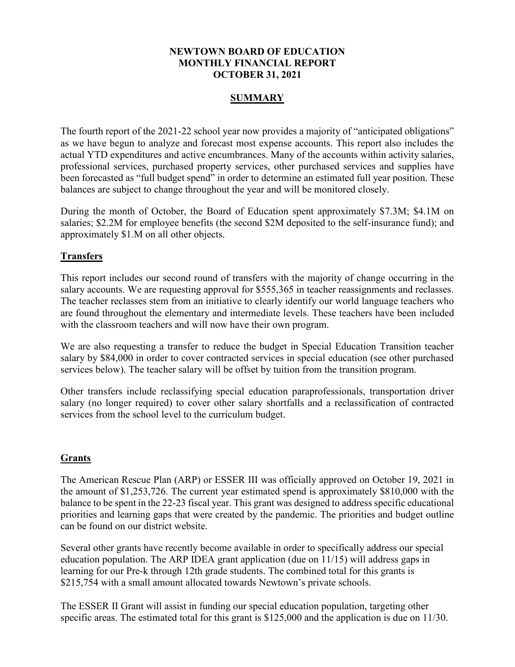# **NEWTOWN BOARD OF EDUCATION MONTHLY FINANCIAL REPORT OCTOBER 31, 2021**

# **SUMMARY**

The fourth report of the 2021-22 school year now provides a majority of "anticipated obligations" as we have begun to analyze and forecast most expense accounts. This report also includes the actual YTD expenditures and active encumbrances. Many of the accounts within activity salaries, professional services, purchased property services, other purchased services and supplies have been forecasted as "full budget spend" in order to determine an estimated full year position. These balances are subject to change throughout the year and will be monitored closely.

During the month of October, the Board of Education spent approximately \$7.3M; \$4.1M on salaries; \$2.2M for employee benefits (the second \$2M deposited to the self-insurance fund); and approximately \$1.M on all other objects.

# **Transfers**

This report includes our second round of transfers with the majority of change occurring in the salary accounts. We are requesting approval for \$555,365 in teacher reassignments and reclasses. The teacher reclasses stem from an initiative to clearly identify our world language teachers who are found throughout the elementary and intermediate levels. These teachers have been included with the classroom teachers and will now have their own program.

We are also requesting a transfer to reduce the budget in Special Education Transition teacher salary by \$84,000 in order to cover contracted services in special education (see other purchased services below). The teacher salary will be offset by tuition from the transition program.

Other transfers include reclassifying special education paraprofessionals, transportation driver salary (no longer required) to cover other salary shortfalls and a reclassification of contracted services from the school level to the curriculum budget.

## **Grants**

The American Rescue Plan (ARP) or ESSER III was officially approved on October 19, 2021 in the amount of \$1,253,726. The current year estimated spend is approximately \$810,000 with the balance to be spent in the 22-23 fiscal year. This grant was designed to address specific educational priorities and learning gaps that were created by the pandemic. The priorities and budget outline can be found on our district website.

Several other grants have recently become available in order to specifically address our special education population. The ARP IDEA grant application (due on 11/15) will address gaps in learning for our Pre-k through 12th grade students. The combined total for this grants is \$215,754 with a small amount allocated towards Newtown's private schools.

The ESSER II Grant will assist in funding our special education population, targeting other specific areas. The estimated total for this grant is \$125,000 and the application is due on 11/30.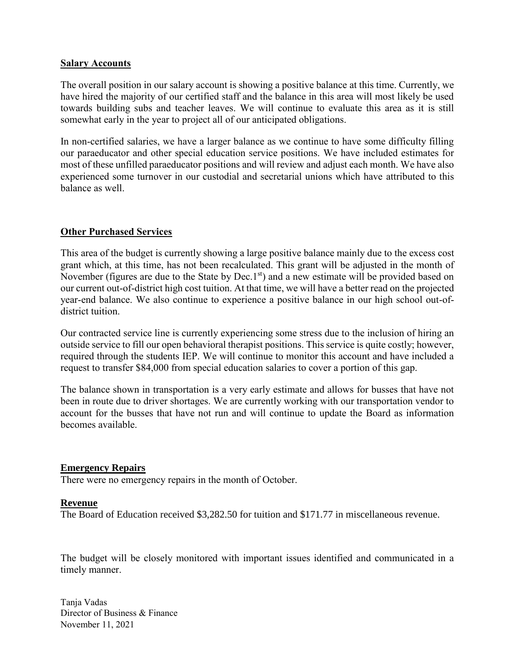#### **Salary Accounts**

The overall position in our salary account is showing a positive balance at this time. Currently, we have hired the majority of our certified staff and the balance in this area will most likely be used towards building subs and teacher leaves. We will continue to evaluate this area as it is still somewhat early in the year to project all of our anticipated obligations.

In non-certified salaries, we have a larger balance as we continue to have some difficulty filling our paraeducator and other special education service positions. We have included estimates for most of these unfilled paraeducator positions and will review and adjust each month. We have also experienced some turnover in our custodial and secretarial unions which have attributed to this balance as well.

# **Other Purchased Services**

This area of the budget is currently showing a large positive balance mainly due to the excess cost grant which, at this time, has not been recalculated. This grant will be adjusted in the month of November (figures are due to the State by Dec.1<sup>st</sup>) and a new estimate will be provided based on our current out-of-district high cost tuition. At that time, we will have a better read on the projected year-end balance. We also continue to experience a positive balance in our high school out-ofdistrict tuition.

Our contracted service line is currently experiencing some stress due to the inclusion of hiring an outside service to fill our open behavioral therapist positions. This service is quite costly; however, required through the students IEP. We will continue to monitor this account and have included a request to transfer \$84,000 from special education salaries to cover a portion of this gap.

The balance shown in transportation is a very early estimate and allows for busses that have not been in route due to driver shortages. We are currently working with our transportation vendor to account for the busses that have not run and will continue to update the Board as information becomes available.

## **Emergency Repairs**

There were no emergency repairs in the month of October.

## **Revenue**

The Board of Education received \$3,282.50 for tuition and \$171.77 in miscellaneous revenue.

The budget will be closely monitored with important issues identified and communicated in a timely manner.

Tanja Vadas Director of Business & Finance November 11, 2021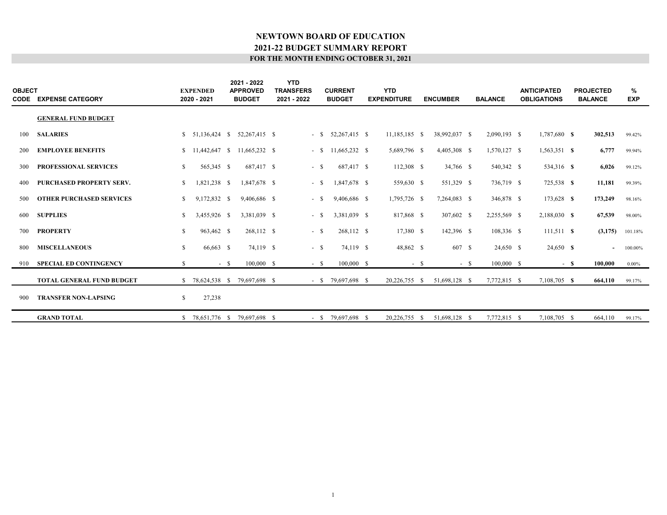| <b>OBJECT</b><br>CODE | <b>EXPENSE CATEGORY</b>          | <b>EXPENDED</b><br>2020 - 2021 |       | 2021 - 2022<br><b>APPROVED</b><br><b>BUDGET</b> | <b>YTD</b><br><b>TRANSFERS</b><br>2021 - 2022 |        | <b>CURRENT</b><br><b>BUDGET</b> | <b>YTD</b><br><b>EXPENDITURE</b> |        | <b>ENCUMBER</b> | <b>BALANCE</b> | <b>ANTICIPATED</b><br><b>OBLIGATIONS</b> |      | <b>PROJECTED</b><br><b>BALANCE</b> | %<br><b>EXP</b> |
|-----------------------|----------------------------------|--------------------------------|-------|-------------------------------------------------|-----------------------------------------------|--------|---------------------------------|----------------------------------|--------|-----------------|----------------|------------------------------------------|------|------------------------------------|-----------------|
|                       | <b>GENERAL FUND BUDGET</b>       |                                |       |                                                 |                                               |        |                                 |                                  |        |                 |                |                                          |      |                                    |                 |
| 100                   | <b>SALARIES</b>                  | $$51,136,424$ \ \$             |       | 52,267,415 \$                                   |                                               | $-$ \$ | 52,267,415 \$                   | 11,185,185 \$                    |        | 38,992,037 \$   | 2,090,193 \$   | 1,787,680 \$                             |      | 302,513                            | 99.42%          |
| 200                   | <b>EMPLOYEE BENEFITS</b>         |                                |       | $$11,442,647$ $$11,665,232$ $$$                 |                                               | $-$ \$ | 11,665,232 \$                   | 5,689,796 \$                     |        | 4,405,308 \$    | 1,570,127 \$   | $1,563,351$ \$                           |      | 6,777                              | 99.94%          |
| 300                   | <b>PROFESSIONAL SERVICES</b>     | \$<br>565,345 \$               |       | 687,417 \$                                      |                                               | - \$   | 687,417 \$                      | 112,308 \$                       |        | 34,766 \$       | 540,342 \$     | 534,316 <b>S</b>                         |      | 6,026                              | 99.12%          |
| 400                   | <b>PURCHASED PROPERTY SERV.</b>  | \$<br>1,821,238 \$             |       | 1,847,678 \$                                    |                                               | $-$ \$ | 1,847,678 \$                    | 559,630 \$                       |        | 551,329 \$      | 736,719 \$     | 725,538 <b>\$</b>                        |      | 11,181                             | 99.39%          |
| 500                   | <b>OTHER PURCHASED SERVICES</b>  | \$<br>9,172,832 \$             |       | 9,406,686 \$                                    |                                               | - \$   | 9,406,686 \$                    | 1,795,726 \$                     |        | 7,264,083 \$    | 346,878 \$     | 173,628 \$                               |      | 173,249                            | 98.16%          |
| 600                   | <b>SUPPLIES</b>                  | \$<br>3,455,926 \$             |       | 3,381,039 \$                                    |                                               | - \$   | 3,381,039 \$                    | 817,868 \$                       |        | 307,602 \$      | 2,255,569 \$   | 2,188,030 \$                             |      | 67,539                             | 98.00%          |
| 700                   | <b>PROPERTY</b>                  | \$<br>963,462 \$               |       | 268,112 \$                                      |                                               | $-$ \$ | 268,112 \$                      | 17,380 \$                        |        | 142,396 \$      | 108,336 \$     | $111,511$ <b>S</b>                       |      | (3, 175)                           | 101.18%         |
| 800                   | <b>MISCELLANEOUS</b>             | \$<br>66,663 \$                |       | 74,119 \$                                       |                                               | $-$ \$ | 74,119 \$                       | 48,862 \$                        |        | 607 \$          | 24,650 \$      | 24,650 \$                                |      | $\overline{\phantom{a}}$           | 100.00%         |
| 910                   | <b>SPECIAL ED CONTINGENCY</b>    | \$                             | $-$ S | 100,000 \$                                      |                                               | $-$ \$ | 100,000 \$                      |                                  | $-$ \$ | $-$ S           | $100,000$ \$   |                                          | - \$ | 100.000                            | $0.00\%$        |
|                       | <b>TOTAL GENERAL FUND BUDGET</b> |                                |       | \$ 78,624,538 \$ 79,697,698 \$                  |                                               |        | $-$ \$ 79,697,698 \$            | 20,226,755 \$                    |        | 51,698,128 \$   | 7,772,815 \$   | 7,108,705 \$                             |      | 664,110                            | 99.17%          |
| 900                   | <b>TRANSFER NON-LAPSING</b>      | \$<br>27,238                   |       |                                                 |                                               |        |                                 |                                  |        |                 |                |                                          |      |                                    |                 |
|                       | <b>GRAND TOTAL</b>               | $$78,651,776$ \, S             |       | 79,697,698 \$                                   |                                               | $-$ S  | 79,697,698 \$                   | 20,226,755 \$                    |        | 51,698,128 \$   | 7,772,815 \$   | 7,108,705 \$                             |      | 664,110                            | 99.17%          |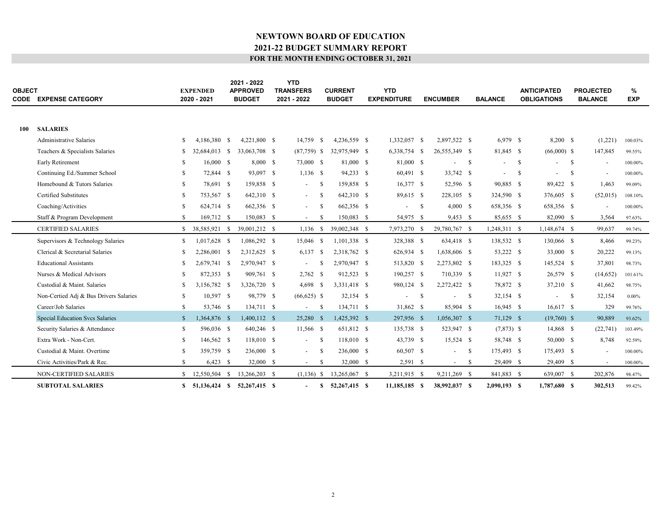| <b>OBJECT</b> | <b>CODE EXPENSE CATEGORY</b>           |               | <b>EXPENDED</b><br>2020 - 2021 |      | 2021 - 2022<br><b>APPROVED</b><br><b>BUDGET</b> | <b>YTD</b><br><b>TRANSFERS</b><br>2021 - 2022 |               | <b>CURRENT</b><br><b>BUDGET</b> | <b>YTD</b><br><b>EXPENDITURE</b> |               | <b>ENCUMBER</b> |              | <b>BALANCE</b>           |               | <b>ANTICIPATED</b><br><b>OBLIGATIONS</b> |               | <b>PROJECTED</b><br><b>BALANCE</b> | %<br><b>EXP</b> |  |
|---------------|----------------------------------------|---------------|--------------------------------|------|-------------------------------------------------|-----------------------------------------------|---------------|---------------------------------|----------------------------------|---------------|-----------------|--------------|--------------------------|---------------|------------------------------------------|---------------|------------------------------------|-----------------|--|
|               |                                        |               |                                |      |                                                 |                                               |               |                                 |                                  |               |                 |              |                          |               |                                          |               |                                    |                 |  |
| 100           | <b>SALARIES</b>                        |               |                                |      |                                                 |                                               |               |                                 |                                  |               |                 |              |                          |               |                                          |               |                                    |                 |  |
|               | <b>Administrative Salaries</b>         | £.            | 4.186.380                      | - \$ | 4.221.800 \$                                    | 14,759                                        | -S            | 4.236.559 \$                    | 1.332.057 \$                     |               | 2.897.522 \$    |              | 6.979 \$                 |               | $8,200$ \$                               |               | (1,221)                            | 100.03%         |  |
|               | Teachers & Specialists Salaries        | S.            | 32,684,013 \$                  |      | 33,063,708 \$                                   | $(87,759)$ \$                                 |               | 32,975,949 \$                   | 6,338,754 \$                     |               | 26,555,349 \$   |              | 81,845 \$                |               | $(66,000)$ \$                            |               | 147,845                            | 99.55%          |  |
|               | Early Retirement                       | S.            | 16,000 \$                      |      | 8,000 \$                                        | 73,000 \$                                     |               | 81,000 \$                       | 81,000 \$                        |               |                 | $\mathbf{s}$ | $\overline{\phantom{a}}$ | -S            | $\overline{\phantom{a}}$                 | $\mathbf{s}$  | $\overline{\phantom{a}}$           | 100.00%         |  |
|               | Continuing Ed./Summer School           | <sup>\$</sup> | 72,844 \$                      |      | 93,097 \$                                       | $1,136$ \$                                    |               | 94,233 \$                       | 60,491 \$                        |               | 33,742 \$       |              | $\overline{\phantom{a}}$ | <sup>\$</sup> | $\overline{a}$                           | <sup>\$</sup> | $\overline{\phantom{a}}$           | 100.00%         |  |
|               | Homebound & Tutors Salaries            | S.            | 78,691 \$                      |      | 159,858 \$                                      |                                               | - \$          | 159,858 \$                      | 16,377 \$                        |               | 52,596 \$       |              | 90,885 \$                |               | 89,422 \$                                |               | 1,463                              | 99.09%          |  |
|               | <b>Certified Substitutes</b>           | <sup>\$</sup> | 753,567 \$                     |      | 642,310 \$                                      |                                               | -S            | 642,310 \$                      | 89,615 \$                        |               | 228,105 \$      |              | 324,590 \$               |               | 376,605 \$                               |               | (52,015)                           | 108.10%         |  |
|               | Coaching/Activities                    | <sup>\$</sup> | 624,714 \$                     |      | 662,356 \$                                      |                                               | -S            | 662,356 \$                      | $\blacksquare$                   | <sup>\$</sup> | 4,000 S         |              | 658,356 \$               |               | 658,356 \$                               |               | $\overline{\phantom{a}}$           | 100.00%         |  |
|               | Staff & Program Development            | <sup>\$</sup> | 169,712 \$                     |      | 150,083 \$                                      |                                               | <sup>\$</sup> | 150,083 \$                      | 54,975 \$                        |               | 9,453 \$        |              | 85,655 \$                |               | 82,090 \$                                |               | 3,564                              | 97.63%          |  |
|               | <b>CERTIFIED SALARIES</b>              | S.            | 38,585,921 \$                  |      | 39,001,212 \$                                   | $1,136$ \$                                    |               | 39,002,348 \$                   | 7,973,270 \$                     |               | 29,780,767 \$   |              | 1,248,311 \$             |               | 1,148,674 \$                             |               | 99,637                             | 99.74%          |  |
|               | Supervisors & Technology Salaries      | \$            | 1,017,628 \$                   |      | 1,086,292 \$                                    | 15,046 \$                                     |               | 1,101,338 \$                    | 328,388 \$                       |               | 634,418 \$      |              | 138,532 \$               |               | 130,066 \$                               |               | 8,466                              | 99.23%          |  |
|               | Clerical & Secretarial Salaries        | £.            | 2,286,001                      | - S  | 2,312,625 \$                                    | 6,137                                         | -S            | 2,318,762 \$                    | 626,934 \$                       |               | 1,638,606 \$    |              | 53,222 \$                |               | 33,000 \$                                |               | 20,222                             | 99.13%          |  |
|               | <b>Educational Assistants</b>          | £.            | 2,679,741 \$                   |      | 2,970,947 \$                                    |                                               | -S            | 2,970,947 \$                    | 513,820 \$                       |               | 2,273,802 \$    |              | 183,325 \$               |               | 145,524 \$                               |               | 37,801                             | 98.73%          |  |
|               | Nurses & Medical Advisors              | <sup>\$</sup> | 872,353 \$                     |      | 909,761 \$                                      | 2,762                                         | - \$          | 912.523 \$                      | 190,257 \$                       |               | 710,339 \$      |              | 11,927 \$                |               | 26,579 \$                                |               | (14,652)                           | 101.61%         |  |
|               | Custodial & Maint. Salaries            | £.            | 3,156,782 \$                   |      | 3,326,720 \$                                    | 4,698                                         | - \$          | 3,331,418 \$                    | 980,124 \$                       |               | 2,272,422 \$    |              | 78,872 \$                |               | 37,210 \$                                |               | 41,662                             | 98.75%          |  |
|               | Non-Certied Adj & Bus Drivers Salaries | S.            | 10,597 \$                      |      | 98,779 \$                                       | $(66,625)$ \$                                 |               | 32,154 \$                       |                                  | -S            |                 | $\mathbf{s}$ | 32,154 \$                |               | $\overline{\phantom{a}}$                 | <sup>S</sup>  | 32,154                             | $0.00\%$        |  |
|               | Career/Job Salaries                    | <sup>\$</sup> | 53,746 \$                      |      | 134,711 \$                                      |                                               | -S            | 134,711 \$                      | 31,862 \$                        |               | 85,904 \$       |              | $16,945$ \$              |               | 16,617 \$                                |               | 329                                | 99.76%          |  |
|               | <b>Special Education Svcs Salaries</b> | <sup>S</sup>  | 1,364,876 \$                   |      | 1,400,112 \$                                    | 25,280 \$                                     |               | 1.425.392 \$                    | 297,956 \$                       |               | 1,056,307 \$    |              | 71,129 \$                |               | $(19,760)$ \$                            |               | 90,889                             | 93.62%          |  |
|               | Security Salaries & Attendance         | <sup>\$</sup> | 596,036 \$                     |      | 640,246 \$                                      | 11,566 \$                                     |               | 651,812 \$                      | 135,738 \$                       |               | 523,947 \$      |              | $(7,873)$ \$             |               | 14,868 \$                                |               | (22,741)                           | 103.49%         |  |
|               | Extra Work - Non-Cert.                 | <sup>\$</sup> | 146,562 \$                     |      | 118,010 \$                                      | $\sim$                                        | -S            | 118,010 \$                      | 43,739 \$                        |               | 15,524 \$       |              | 58,748 \$                |               | 50,000 \$                                |               | 8,748                              | 92.59%          |  |
|               | Custodial & Maint. Overtime            | S.            | 359,759 \$                     |      | 236,000 \$                                      |                                               | -S            | 236,000 \$                      | 60,507 \$                        |               |                 | - \$         | 175,493 \$               |               | 175,493 \$                               |               | $\overline{\phantom{a}}$           | 100.00%         |  |
|               | Civic Activities/Park & Rec.           | <sup>\$</sup> | $6,423$ \$                     |      | 32,000 \$                                       |                                               | -S            | 32,000 \$                       | $2,591$ \$                       |               | $-$ \$          |              | 29,409 \$                |               | 29,409 \$                                |               | $\sim$                             | 100.00%         |  |
|               | NON-CERTIFIED SALARIES                 | S.            | 12,550,504                     | - \$ | 13,266,203 \$                                   | $(1,136)$ \$                                  |               | 13,265,067 \$                   | 3,211,915 \$                     |               | 9,211,269 \$    |              | 841,883 \$               |               | 639,007 \$                               |               | 202,876                            | 98.47%          |  |
|               | <b>SUBTOTAL SALARIES</b>               |               | $$51,136,424$ \$               |      | 52,267,415 \$                                   |                                               | S             | 52,267,415 \$                   | 11,185,185 \$                    |               | 38,992,037 \$   |              | 2,090,193 \$             |               | 1,787,680 \$                             |               | 302,513                            | 99.42%          |  |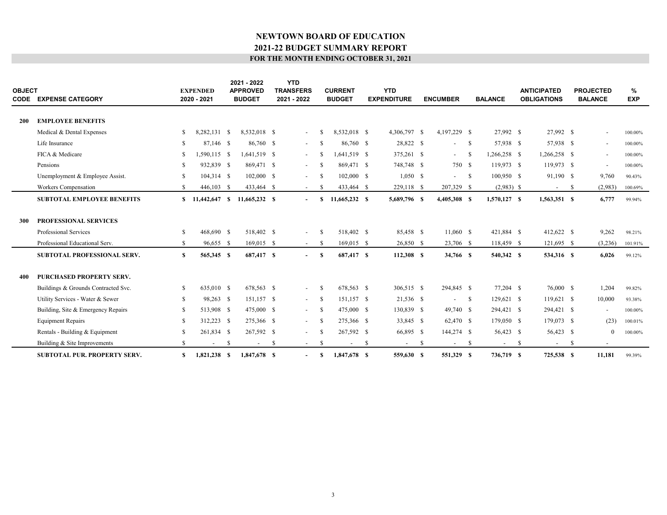| <b>OBJECT</b> | <b>CODE EXPENSE CATEGORY</b>                                                            |                     | <b>EXPENDED</b><br>2020 - 2021 |      | 2021 - 2022<br><b>APPROVED</b><br><b>BUDGET</b> |    | <b>YTD</b><br><b>TRANSFERS</b><br>2021 - 2022 |              | <b>CURRENT</b><br><b>BUDGET</b> |    | <b>YTD</b><br><b>EXPENDITURE</b> |    | <b>ENCUMBER</b>          |              | <b>BALANCE</b>           |      | <b>ANTICIPATED</b><br><b>OBLIGATIONS</b> |    | <b>PROJECTED</b><br><b>BALANCE</b> | %<br><b>EXP</b>   |
|---------------|-----------------------------------------------------------------------------------------|---------------------|--------------------------------|------|-------------------------------------------------|----|-----------------------------------------------|--------------|---------------------------------|----|----------------------------------|----|--------------------------|--------------|--------------------------|------|------------------------------------------|----|------------------------------------|-------------------|
| 200           | <b>EMPLOYEE BENEFITS</b>                                                                |                     |                                |      |                                                 |    |                                               |              |                                 |    |                                  |    |                          |              |                          |      |                                          |    |                                    |                   |
|               | Medical & Dental Expenses                                                               | S.                  | 8,282,131 \$                   |      | 8,532,018 \$                                    |    | $\sim$                                        | S            | 8,532,018 \$                    |    | 4,306,797 \$                     |    | 4,197,229 \$             |              | 27,992 \$                |      | 27,992 \$                                |    | $\overline{\phantom{a}}$           | 100.00%           |
|               | Life Insurance                                                                          | S.                  | 87,146 \$                      |      | 86,760 \$                                       |    | $\sim$                                        | -S           | 86,760 \$                       |    | 28,822 \$                        |    | $\blacksquare$           | $\mathbf{s}$ | 57,938 \$                |      | 57,938 \$                                |    | $\sim$                             | 100.00%           |
|               | FICA & Medicare                                                                         | \$                  | 1,590,115 \$                   |      | 1,641,519 \$                                    |    | $\sim$                                        | -S           | 1,641,519 \$                    |    | 375,261 \$                       |    | $\sim$                   | - S          | 1,266,258 \$             |      | 1,266,258 \$                             |    | $\overline{\phantom{a}}$           | 100.00%           |
|               | Pensions                                                                                | S.                  | 932,839 \$                     |      | 869,471 \$                                      |    |                                               | -S           | 869.471 \$                      |    | 748,748 \$                       |    | 750 \$                   |              | 119,973 \$               |      | 119,973 \$                               |    | $\sim$                             | 100.00%           |
|               | Unemployment & Employee Assist.                                                         | S.                  | 104,314 \$                     |      | 102,000 \$                                      |    |                                               | -S           | $102,000$ \$                    |    | $1,050$ \$                       |    | $\omega_{\rm{max}}$      | $\mathbf{s}$ | 100,950 \$               |      | 91,190 \$                                |    | 9,760                              | 90.43%            |
|               | Workers Compensation                                                                    | <sup>\$</sup>       | 446,103 \$                     |      | 433,464 \$                                      |    | $\overline{\phantom{a}}$                      | -S           | 433,464 \$                      |    | 229,118 \$                       |    | 207,329 \$               |              | $(2,983)$ \$             |      | $\overline{\phantom{a}}$                 | -S | (2,983)                            | 100.69%           |
|               | <b>SUBTOTAL EMPLOYEE BENEFITS</b>                                                       |                     |                                |      | 11,665,232 \$                                   |    |                                               | s            | 11,665,232 \$                   |    | 5,689,796 \$                     |    | 4,405,308 \$             |              | 1,570,127 \$             |      | $1,563,351$ \$                           |    | 6,777                              | 99.94%            |
| 300           | <b>PROFESSIONAL SERVICES</b><br>Professional Services<br>Professional Educational Serv. | S.<br><sup>\$</sup> | 468,690 \$<br>96,655 \$        |      | 518,402 \$<br>169,015 \$                        |    | $\sim$                                        | -S<br>-S     | 518,402 \$<br>169,015 \$        |    | 85,458 \$<br>26,850 \$           |    | 11,060 \$<br>23,706 \$   |              | 421,884 \$<br>118,459 \$ |      | 412,622 \$<br>121,695 \$                 |    | 9,262<br>(3,236)                   | 98.21%<br>101.91% |
|               | SUBTOTAL PROFESSIONAL SERV.                                                             | S                   | 565,345 \$                     |      | 687,417 \$                                      |    | $\overline{\phantom{a}}$                      | S            | 687,417 \$                      |    | $112,308$ \$                     |    | 34,766 \$                |              | 540,342 \$               |      | 534,316 \$                               |    | 6,026                              | 99.12%            |
| 400           | PURCHASED PROPERTY SERV.                                                                |                     |                                |      |                                                 |    |                                               |              |                                 |    |                                  |    |                          |              |                          |      |                                          |    |                                    |                   |
|               | Buildings & Grounds Contracted Svc.                                                     | \$                  | 635,010 \$                     |      | 678,563 \$                                      |    | $\overline{\phantom{a}}$                      | -S           | 678,563 \$                      |    | 306,515 \$                       |    | 294,845 \$               |              | 77,204 \$                |      | 76,000 \$                                |    | 1,204                              | 99.82%            |
|               | Utility Services - Water & Sewer                                                        | <sup>\$</sup>       | 98,263 \$                      |      | 151,157 \$                                      |    | $\sim$                                        | - \$         | 151,157 \$                      |    | 21,536 \$                        |    | $\overline{\phantom{a}}$ | $\mathbf{s}$ | 129,621 \$               |      | 119,621 \$                               |    | 10,000                             | 93.38%            |
|               | Building, Site & Emergency Repairs                                                      | \$                  | 513,908 \$                     |      | 475,000 \$                                      |    | $\sim$                                        | -S           | 475,000 \$                      |    | 130,839 \$                       |    | 49,740 \$                |              | 294,421 \$               |      | 294,421 \$                               |    | $\overline{\phantom{a}}$           | 100.00%           |
|               | <b>Equipment Repairs</b>                                                                | S.                  | 312,223 \$                     |      | 275,366 \$                                      |    |                                               | -S           | 275,366 \$                      |    | 33,845 \$                        |    | 62,470 \$                |              | 179,050 \$               |      | 179,073 \$                               |    | (23)                               | 100.01%           |
|               | Rentals - Building & Equipment                                                          | -S                  | 261,834                        | - \$ | 267,592 \$                                      |    |                                               | -S           | 267,592 \$                      |    | 66,895 \$                        |    | 144,274 \$               |              | 56,423 \$                |      | 56,423 \$                                |    | $\overline{0}$                     | 100.00%           |
|               | Building & Site Improvements                                                            | <sup>\$</sup>       | $\overline{\phantom{a}}$       | -S   | $\overline{\phantom{a}}$                        | -S | $\overline{\phantom{a}}$                      | <sup>S</sup> | $\overline{\phantom{a}}$        | -S | $\sim$                           | -S | $\overline{\phantom{a}}$ | -S           | $\sim$                   | - \$ | $\sim$                                   | \$ | $\overline{\phantom{a}}$           |                   |
|               | <b>SUBTOTAL PUR. PROPERTY SERV.</b>                                                     | S.                  | 1,821,238 \$                   |      | 1,847,678 \$                                    |    |                                               | -S           | 1,847,678 \$                    |    | 559,630 \$                       |    | 551,329 \$               |              | 736,719 \$               |      | 725,538 \$                               |    | 11,181                             | 99.39%            |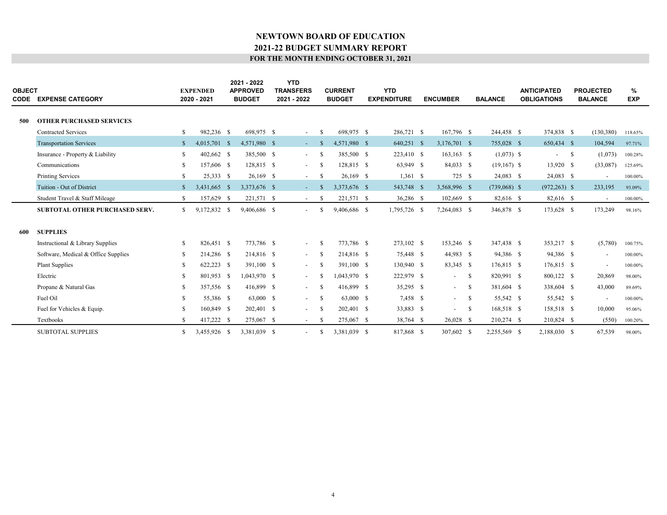| <b>OBJECT</b><br>CODE | <b>EXPENSE CATEGORY</b>               |              | <b>EXPENDED</b><br>2020 - 2021 |      | 2021 - 2022<br><b>APPROVED</b><br><b>BUDGET</b> | <b>YTD</b><br><b>TRANSFERS</b><br>2021 - 2022 |      | <b>CURRENT</b><br><b>BUDGET</b> | <b>YTD</b><br><b>EXPENDITURE</b> | <b>ENCUMBER</b>          |          | <b>BALANCE</b> | <b>ANTICIPATED</b><br><b>OBLIGATIONS</b> |              | <b>PROJECTED</b><br><b>BALANCE</b> | %<br><b>EXP</b> |  |
|-----------------------|---------------------------------------|--------------|--------------------------------|------|-------------------------------------------------|-----------------------------------------------|------|---------------------------------|----------------------------------|--------------------------|----------|----------------|------------------------------------------|--------------|------------------------------------|-----------------|--|
| 500                   | <b>OTHER PURCHASED SERVICES</b>       |              |                                |      |                                                 |                                               |      |                                 |                                  |                          |          |                |                                          |              |                                    |                 |  |
|                       | <b>Contracted Services</b>            | \$           | 982,236 \$                     |      | 698,975 \$                                      |                                               |      | 698,975 \$                      | 286,721 \$                       | 167,796 \$               |          | 244,458 \$     | 374,838 \$                               |              |                                    |                 |  |
|                       |                                       |              |                                |      |                                                 | $\sim$                                        | -S   | 4.571.980 \$                    |                                  |                          |          |                |                                          |              | (130, 380)                         | 118.65%         |  |
|                       | <b>Transportation Services</b>        | $\mathbb{S}$ | 4,015,701 \$                   |      | 4,571,980 \$                                    | $\sim$                                        |      |                                 | 640,251 \$                       | 3,176,701 \$             |          | 755,028 \$     | 650,434 \$                               |              | 104,594                            | 97.71%          |  |
|                       | Insurance - Property & Liability      | \$           | 402,662 \$                     |      | 385,500 \$                                      | $\sim$                                        | -S   | 385,500 \$                      | 223,410 \$                       | $163, 163$ \$            |          | $(1,073)$ \$   | $\sim$                                   | $\mathbf{s}$ | (1,073)                            | 100.28%         |  |
|                       | Communications                        | \$.          | 157,606 \$                     |      | 128,815 \$                                      | $\sim$                                        | -S   | 128,815 \$                      | 63,949 \$                        | 84,033 \$                |          | $(19,167)$ \$  | 13,920 \$                                |              | (33,087)                           | 125.69%         |  |
|                       | <b>Printing Services</b>              | \$           | 25.333 \$                      |      | $26,169$ \$                                     | $\sim$                                        |      | 26,169 \$                       | $1,361$ \$                       | 725 \$                   |          | 24,083 \$      | 24,083 \$                                |              | $\overline{\phantom{a}}$           | 100.00%         |  |
|                       | Tuition - Out of District             | $\mathbf{s}$ | 3,431,665                      | - \$ | 3,373,676 \$                                    | $\sim$                                        |      | 3,373,676 \$                    | 543,748 \$                       | 3,568,996 \$             |          | $(739,068)$ \$ | $(972, 263)$ \$                          |              | 233,195                            | 93.09%          |  |
|                       | Student Travel & Staff Mileage        | S.           | 157,629 \$                     |      | 221,571 \$                                      | $\sim$                                        | -8   | 221,571 \$                      | 36,286 \$                        | 102,669 \$               |          | 82,616 \$      | 82,616 \$                                |              | $\sim$                             | 100.00%         |  |
|                       | <b>SUBTOTAL OTHER PURCHASED SERV.</b> | S.           | 9,172,832 \$                   |      | 9,406,686 \$                                    | $\overline{\phantom{a}}$                      |      | 9,406,686 \$                    | 1,795,726 \$                     | 7,264,083 \$             |          | 346,878 \$     | 173,628 \$                               |              | 173,249                            | 98.16%          |  |
|                       |                                       |              |                                |      |                                                 |                                               |      |                                 |                                  |                          |          |                |                                          |              |                                    |                 |  |
| 600                   | <b>SUPPLIES</b>                       |              |                                |      |                                                 |                                               |      |                                 |                                  |                          |          |                |                                          |              |                                    |                 |  |
|                       | Instructional & Library Supplies      | \$.          | 826,451 \$                     |      | 773,786 \$                                      | $\overline{\phantom{a}}$                      | -S   | 773,786 \$                      | 273,102 \$                       | 153,246 \$               |          | 347,438 \$     | 353,217 \$                               |              | (5,780)                            | 100.75%         |  |
|                       | Software, Medical & Office Supplies   | \$.          | 214,286 \$                     |      | 214,816 \$                                      | $\sim$                                        | - \$ | 214,816 \$                      | 75,448 \$                        | 44,983 \$                |          | 94,386 \$      | 94,386 \$                                |              | $\overline{\phantom{a}}$           | 100.00%         |  |
|                       | <b>Plant Supplies</b>                 | S            | 622,223 \$                     |      | 391,100 \$                                      | $\sim$                                        | -S   | 391,100 \$                      | 130,940 \$                       | 83,345 \$                |          | 176,815 \$     | 176,815 \$                               |              | $\overline{\phantom{a}}$           | 100.00%         |  |
|                       | Electric                              | \$.          | 801,953 \$                     |      | 1,043,970 \$                                    | $\sim$                                        |      | 1,043,970 \$                    | 222,979 \$                       | $\sim$                   | - \$     | 820,991 \$     | 800,122 \$                               |              | 20,869                             | 98.00%          |  |
|                       | Propane & Natural Gas                 | \$.          | 357,556 \$                     |      | 416,899 \$                                      | $\sim$                                        | -S   | 416,899 \$                      | 35,295 \$                        | $\sim 10^{-1}$           | <b>S</b> | 381,604 \$     | 338,604 \$                               |              | 43,000                             | 89.69%          |  |
|                       | Fuel Oil                              | \$.          | 55,386 \$                      |      | 63,000 \$                                       | $\sim$                                        | - \$ | 63,000 \$                       | 7,458 \$                         | $- S$                    |          | 55,542 \$      | 55,542 \$                                |              | $\overline{\phantom{a}}$           | 100.00%         |  |
|                       | Fuel for Vehicles & Equip.            | \$.          | 160,849 \$                     |      | 202,401 \$                                      | $\overline{\phantom{a}}$                      | -S   | 202,401 \$                      | 33,883 \$                        | $\overline{\phantom{a}}$ | - \$     | 168,518 \$     | 158,518 \$                               |              | 10,000                             | 95.06%          |  |
|                       | Textbooks                             | \$.          | 417,222 \$                     |      | 275,067 \$                                      | $\sim$                                        | -S   | 275,067 \$                      | 38,764 \$                        | $26,028$ \$              |          | 210,274 \$     | 210,824 \$                               |              | (550)                              | 100.20%         |  |
|                       | <b>SUBTOTAL SUPPLIES</b>              | \$           | 3.455,926 \$                   |      | 3.381.039 \$                                    |                                               | £.   | 3.381.039 \$                    | 817,868 \$                       | 307,602 \$               |          | 2.255,569 \$   | 2.188,030 \$                             |              | 67.539                             | 98.00%          |  |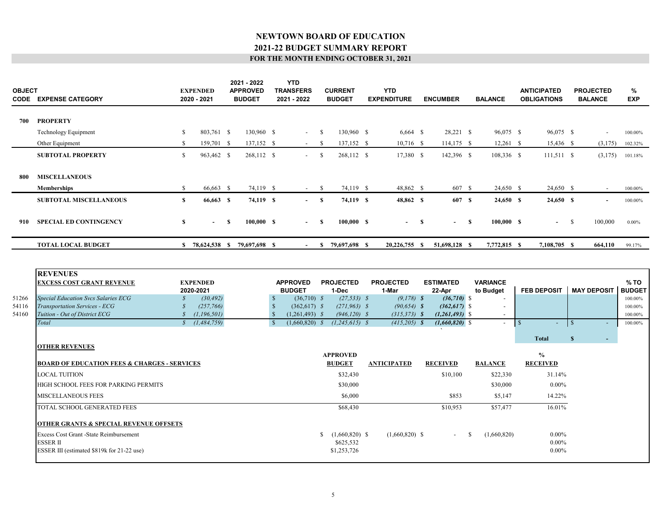| <b>OBJECT</b> | <b>CODE EXPENSE CATEGORY</b>                                                                                   |               | <b>EXPENDED</b><br>2020 - 2021            |              | 2021 - 2022<br><b>APPROVED</b><br><b>BUDGET</b> |                               | <b>YTD</b><br><b>TRANSFERS</b><br>2021 - 2022     |               | <b>CURRENT</b><br><b>BUDGET</b>              | <b>YTD</b><br><b>EXPENDITURE</b>          | <b>ENCUMBER</b>                             |     | <b>BALANCE</b>                                       | <b>ANTICIPATED</b><br><b>OBLIGATIONS</b> |              | <b>PROJECTED</b><br><b>BALANCE</b> | %<br><b>EXP</b>                  |
|---------------|----------------------------------------------------------------------------------------------------------------|---------------|-------------------------------------------|--------------|-------------------------------------------------|-------------------------------|---------------------------------------------------|---------------|----------------------------------------------|-------------------------------------------|---------------------------------------------|-----|------------------------------------------------------|------------------------------------------|--------------|------------------------------------|----------------------------------|
| 700           | <b>PROPERTY</b>                                                                                                |               |                                           |              |                                                 |                               |                                                   |               |                                              |                                           |                                             |     |                                                      |                                          |              |                                    |                                  |
|               | Technology Equipment                                                                                           | S.            | 803,761 \$                                |              | 130,960 \$                                      |                               |                                                   | -S            | 130,960 \$                                   | $6,664$ \$                                | 28,221 \$                                   |     | 96,075 \$                                            | 96,075 \$                                |              |                                    | 100.00%                          |
|               | Other Equipment                                                                                                | \$            | 159,701 \$                                |              | 137,152 \$                                      |                               |                                                   | - \$          | 137,152 \$                                   | $10,716$ \$                               | $114,175$ \$                                |     | $12,261$ \$                                          | 15,436 \$                                |              | (3,175)                            | 102.32%                          |
|               | <b>SUBTOTAL PROPERTY</b>                                                                                       | $\mathbb{S}$  | 963,462 \$                                |              | 268,112 \$                                      |                               | $- S$                                             |               | 268,112 \$                                   | 17,380 \$                                 | 142,396 \$                                  |     | 108,336 \$                                           | $111,511$ \$                             |              |                                    | $(3,175)$ 101.18%                |
| 800           | <b>MISCELLANEOUS</b>                                                                                           |               |                                           |              |                                                 |                               |                                                   |               |                                              |                                           |                                             |     |                                                      |                                          |              |                                    |                                  |
|               | <b>Memberships</b>                                                                                             | \$            | 66,663 \$                                 |              | 74,119 \$                                       |                               | $-$ \$                                            |               | 74,119 \$                                    | 48,862 \$                                 | 607 \$                                      |     | 24,650 \$                                            | 24,650 \$                                |              |                                    | 100.00%                          |
|               | <b>SUBTOTAL MISCELLANEOUS</b>                                                                                  | $\mathbf{s}$  | 66,663 \$                                 |              | 74,119 \$                                       |                               | $- S$                                             |               | 74,119 \$                                    | 48,862 \$                                 | 607 S                                       |     | 24,650 S                                             | 24,650 S                                 |              |                                    | 100.00%                          |
| 910           | <b>SPECIAL ED CONTINGENCY</b>                                                                                  | $\mathbf{s}$  |                                           | $\mathbf{s}$ | 100,000 S                                       |                               |                                                   | $\mathbf{s}$  | 100,000 S                                    | $-$ S                                     | $\overline{\phantom{0}}$                    | - S | 100,000 S                                            | $\overline{\phantom{0}}$                 | - S          | 100,000                            | $0.00\%$                         |
|               | <b>TOTAL LOCAL BUDGET</b>                                                                                      |               |                                           |              | \$ 78,624,538 \$ 79,697,698 \$                  |                               |                                                   |               | $-$ \$ 79,697,698 \$                         | 20,226,755 \$                             | 51,698,128 \$                               |     | 7,772,815 \$                                         | 7,108,705 \$                             |              | 664,110                            | 99.17%                           |
| 51266         | <b>REVENUES</b><br><b>EXCESS COST GRANT REVENUE</b><br><b>Special Education Svcs Salaries ECG</b>              | S             | <b>EXPENDED</b><br>2020-2021<br>(30, 492) |              |                                                 | $\mathcal{S}$                 | <b>APPROVED</b><br><b>BUDGET</b><br>$(36,710)$ \$ |               | <b>PROJECTED</b><br>1-Dec<br>$(27, 533)$ \$  | <b>PROJECTED</b><br>1-Mar<br>$(9,178)$ \$ | <b>ESTIMATED</b><br>22-Apr<br>$(36,710)$ \$ |     | <b>VARIANCE</b><br>to Budget                         | <b>FEB DEPOSIT</b>                       |              | <b>MAY DEPOSIT</b>                 | % TO<br><b>BUDGET</b><br>100.00% |
| 54116         | <b>Transportation Services - ECG</b>                                                                           | $\mathcal{S}$ | (257,766)                                 |              |                                                 | $\mathbf{\hat{s}}$            | $(362,617)$ \$                                    |               | $(271,963)$ \$                               | $(90, 654)$ \$                            | $(362, 617)$ \$                             |     | $\overline{\phantom{a}}$                             |                                          |              |                                    | 100.00%                          |
| 54160         | Tuition - Out of District ECG<br>Total                                                                         | $\mathcal{S}$ | $\{(1,196,501)\}$<br>(1, 484, 759)        |              |                                                 | $\mathcal{S}$<br>$\mathbf{s}$ | $(1,261,493)$ \$<br>$(1,660,820)$ \$              |               | $(946, 120)$ \$<br>$(1, 245, 615)$ \$        | $(315, 373)$ \$<br>$(415,205)$ \$         | $(1,261,493)$ \$<br>$(1,660,820)$ \$        |     | $\overline{\phantom{a}}$<br>$\overline{\phantom{a}}$ |                                          | -8           |                                    | 100.00%<br>100.00%               |
|               |                                                                                                                |               |                                           |              |                                                 |                               |                                                   |               |                                              |                                           |                                             |     |                                                      | <b>Total</b>                             | $\mathbf{s}$ | $\sim$                             |                                  |
|               | <b>OTHER REVENUES</b>                                                                                          |               |                                           |              |                                                 |                               |                                                   |               |                                              |                                           |                                             |     |                                                      |                                          |              |                                    |                                  |
|               | <b>BOARD OF EDUCATION FEES &amp; CHARGES - SERVICES</b>                                                        |               |                                           |              |                                                 |                               |                                                   |               | <b>APPROVED</b><br><b>BUDGET</b>             | <b>ANTICIPATED</b>                        | <b>RECEIVED</b>                             |     | <b>BALANCE</b>                                       | $\frac{0}{0}$<br><b>RECEIVED</b>         |              |                                    |                                  |
|               | <b>LOCAL TUITION</b>                                                                                           |               |                                           |              |                                                 |                               |                                                   |               | \$32,430                                     |                                           | \$10,100                                    |     | \$22,330                                             | 31.14%                                   |              |                                    |                                  |
|               | HIGH SCHOOL FEES FOR PARKING PERMITS                                                                           |               |                                           |              |                                                 |                               |                                                   |               | \$30,000                                     |                                           |                                             |     | \$30,000                                             | $0.00\%$                                 |              |                                    |                                  |
|               | <b>MISCELLANEOUS FEES</b>                                                                                      |               |                                           |              |                                                 |                               |                                                   |               | \$6,000                                      |                                           | \$853                                       |     | \$5,147                                              | 14.22%                                   |              |                                    |                                  |
|               | TOTAL SCHOOL GENERATED FEES                                                                                    |               |                                           |              |                                                 |                               |                                                   |               | \$68,430                                     |                                           | \$10,953                                    |     | \$57,477                                             | 16.01%                                   |              |                                    |                                  |
|               | <b>OTHER GRANTS &amp; SPECIAL REVENUE OFFSETS</b>                                                              |               |                                           |              |                                                 |                               |                                                   |               |                                              |                                           |                                             |     |                                                      |                                          |              |                                    |                                  |
|               | <b>Excess Cost Grant -State Reimbursement</b><br><b>ESSER II</b><br>ESSER III (estimated \$819k for 21-22 use) |               |                                           |              |                                                 |                               |                                                   | <sup>\$</sup> | $(1,660,820)$ \$<br>\$625,532<br>\$1,253,726 | $(1,660,820)$ \$                          |                                             | -S  | (1,660,820)                                          | $0.00\%$<br>$0.00\%$<br>$0.00\%$         |              |                                    |                                  |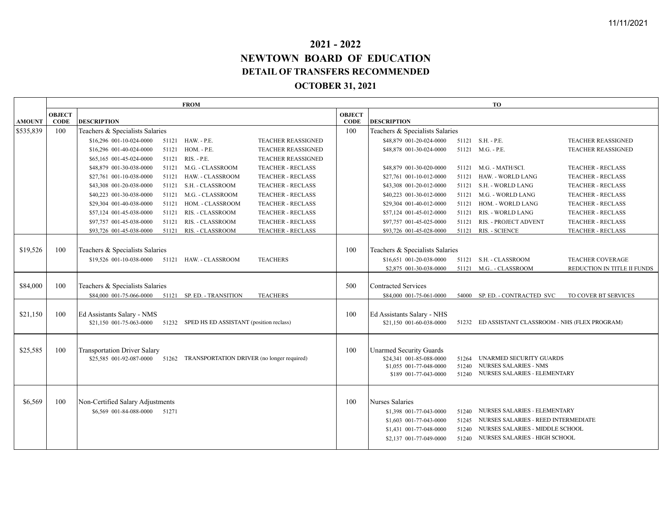# **2021 - 2022 NEWTOWN BOARD OF EDUCATION DETAIL OF TRANSFERS RECOMMENDED OCTOBER 31, 2021**

|               |               |                                     |       | <b>FROM</b>                                                               |                           | TO            |                                 |       |                                                   |                             |  |  |  |  |  |  |
|---------------|---------------|-------------------------------------|-------|---------------------------------------------------------------------------|---------------------------|---------------|---------------------------------|-------|---------------------------------------------------|-----------------------------|--|--|--|--|--|--|
|               | <b>OBJECT</b> |                                     |       |                                                                           |                           | <b>OBJECT</b> |                                 |       |                                                   |                             |  |  |  |  |  |  |
| <b>AMOUNT</b> | <b>CODE</b>   | <b>DESCRIPTION</b>                  |       |                                                                           |                           | <b>CODE</b>   | <b>DESCRIPTION</b>              |       |                                                   |                             |  |  |  |  |  |  |
| \$535,839     | 100           | Teachers & Specialists Salaries     |       |                                                                           |                           | 100           | Teachers & Specialists Salaries |       |                                                   |                             |  |  |  |  |  |  |
|               |               | \$16,296 001-10-024-0000            |       | 51121 HAW. - P.E.                                                         | <b>TEACHER REASSIGNED</b> |               | \$48,879 001-20-024-0000        |       | 51121 S.H. - P.E.                                 | <b>TEACHER REASSIGNED</b>   |  |  |  |  |  |  |
|               |               | \$16,296 001-40-024-0000            |       | 51121 HOM. - P.E.                                                         | <b>TEACHER REASSIGNED</b> |               | \$48,878 001-30-024-0000        |       | 51121 M.G. - P.E.                                 | <b>TEACHER REASSIGNED</b>   |  |  |  |  |  |  |
|               |               | \$65,165 001-45-024-0000            |       | 51121 RIS. - P.E.                                                         | <b>TEACHER REASSIGNED</b> |               |                                 |       |                                                   |                             |  |  |  |  |  |  |
|               |               | \$48,879 001-30-038-0000            |       | 51121 M.G. - CLASSROOM                                                    | <b>TEACHER - RECLASS</b>  |               | \$48,879 001-30-020-0000        | 51121 | M.G. - MATH/SCI.                                  | <b>TEACHER - RECLASS</b>    |  |  |  |  |  |  |
|               |               | \$27,761 001-10-038-0000            |       | 51121 HAW. - CLASSROOM                                                    | <b>TEACHER - RECLASS</b>  |               | \$27,761 001-10-012-0000        | 51121 | HAW. - WORLD LANG                                 | <b>TEACHER - RECLASS</b>    |  |  |  |  |  |  |
|               |               | \$43,308 001-20-038-0000            |       | 51121 S.H. - CLASSROOM                                                    | TEACHER - RECLASS         |               | \$43,308 001-20-012-0000        |       | 51121 S.H. - WORLD LANG                           | <b>TEACHER - RECLASS</b>    |  |  |  |  |  |  |
|               |               | \$40,223 001-30-038-0000            |       | 51121 M.G. - CLASSROOM                                                    | <b>TEACHER - RECLASS</b>  |               | \$40,223 001-30-012-0000        | 51121 | M.G. - WORLD LANG                                 | <b>TEACHER - RECLASS</b>    |  |  |  |  |  |  |
|               |               | \$29,304 001-40-038-0000            |       | 51121 HOM. - CLASSROOM                                                    | <b>TEACHER - RECLASS</b>  |               | \$29,304 001-40-012-0000        | 51121 | HOM. - WORLD LANG                                 | <b>TEACHER - RECLASS</b>    |  |  |  |  |  |  |
|               |               | \$57,124 001-45-038-0000            |       | 51121 RIS. - CLASSROOM                                                    | <b>TEACHER - RECLASS</b>  |               | \$57,124 001-45-012-0000        | 51121 | RIS. - WORLD LANG                                 | <b>TEACHER - RECLASS</b>    |  |  |  |  |  |  |
|               |               | \$97,757 001-45-038-0000            |       | 51121 RIS. - CLASSROOM                                                    | <b>TEACHER - RECLASS</b>  |               | \$97,757 001-45-025-0000        | 51121 | <b>RIS. - PROJECT ADVENT</b>                      | <b>TEACHER - RECLASS</b>    |  |  |  |  |  |  |
|               |               | \$93,726 001-45-038-0000            |       | 51121 RIS. - CLASSROOM                                                    | <b>TEACHER - RECLASS</b>  |               | \$93,726 001-45-028-0000        |       | 51121 RIS. - SCIENCE                              | <b>TEACHER - RECLASS</b>    |  |  |  |  |  |  |
|               |               |                                     |       |                                                                           |                           |               |                                 |       |                                                   |                             |  |  |  |  |  |  |
| \$19,526      | 100           | Teachers & Specialists Salaries     |       |                                                                           |                           | 100           | Teachers & Specialists Salaries |       |                                                   |                             |  |  |  |  |  |  |
|               |               | \$19,526 001-10-038-0000            |       | 51121 HAW. - CLASSROOM                                                    | <b>TEACHERS</b>           |               | \$16,651 001-20-038-0000        |       | 51121 S.H. - CLASSROOM                            | <b>TEACHER COVERAGE</b>     |  |  |  |  |  |  |
|               |               |                                     |       |                                                                           |                           |               | \$2,875 001-30-038-0000         |       | 51121 M.G - CLASSROOM                             | REDUCTION IN TITLE II FUNDS |  |  |  |  |  |  |
|               |               |                                     |       |                                                                           |                           |               |                                 |       |                                                   |                             |  |  |  |  |  |  |
| \$84,000      | 100           | Teachers & Specialists Salaries     |       |                                                                           |                           | 500           | <b>Contracted Services</b>      |       |                                                   |                             |  |  |  |  |  |  |
|               |               | \$84,000 001-75-066-0000            |       | 51121 SP. ED. - TRANSITION                                                | <b>TEACHERS</b>           |               | \$84,000 001-75-061-0000        |       | 54000 SP. ED. - CONTRACTED SVC                    | TO COVER BT SERVICES        |  |  |  |  |  |  |
|               |               |                                     |       |                                                                           |                           |               |                                 |       |                                                   |                             |  |  |  |  |  |  |
| \$21,150      | 100           | Ed Assistants Salary - NMS          |       |                                                                           |                           | 100           | Ed Assistants Salary - NHS      |       |                                                   |                             |  |  |  |  |  |  |
|               |               |                                     |       | \$21,150 001-75-063-0000 51232 SPED HS ED ASSISTANT (position reclass)    |                           |               | \$21,150 001-60-038-0000        |       | 51232 ED ASSISTANT CLASSROOM - NHS (FLEX PROGRAM) |                             |  |  |  |  |  |  |
|               |               |                                     |       |                                                                           |                           |               |                                 |       |                                                   |                             |  |  |  |  |  |  |
|               |               |                                     |       |                                                                           |                           |               |                                 |       |                                                   |                             |  |  |  |  |  |  |
| \$25,585      | 100           | <b>Transportation Driver Salary</b> |       |                                                                           |                           | 100           | <b>Unarmed Security Guards</b>  |       |                                                   |                             |  |  |  |  |  |  |
|               |               |                                     |       | \$25,585 001-92-087-0000 51262 TRANSPORTATION DRIVER (no longer required) |                           |               | \$24,341 001-85-088-0000        | 51264 | UNARMED SECURITY GUARDS                           |                             |  |  |  |  |  |  |
|               |               |                                     |       |                                                                           |                           |               | \$1,055 001-77-048-0000         | 51240 | <b>NURSES SALARIES - NMS</b>                      |                             |  |  |  |  |  |  |
|               |               |                                     |       |                                                                           |                           |               | \$189 001-77-043-0000           | 51240 | NURSES SALARIES - ELEMENTARY                      |                             |  |  |  |  |  |  |
|               |               |                                     |       |                                                                           |                           |               |                                 |       |                                                   |                             |  |  |  |  |  |  |
|               |               |                                     |       |                                                                           |                           |               |                                 |       |                                                   |                             |  |  |  |  |  |  |
| \$6,569       | 100           | Non-Certified Salary Adjustments    |       |                                                                           |                           | 100           | <b>Nurses Salaries</b>          |       |                                                   |                             |  |  |  |  |  |  |
|               |               | \$6,569 001-84-088-0000             | 51271 |                                                                           |                           |               | \$1,398 001-77-043-0000         | 51240 | NURSES SALARIES - ELEMENTARY                      |                             |  |  |  |  |  |  |
|               |               |                                     |       |                                                                           |                           |               | \$1,603 001-77-043-0000         | 51245 | NURSES SALARIES - REED INTERMEDIATE               |                             |  |  |  |  |  |  |
|               |               |                                     |       |                                                                           |                           |               | \$1,431 001-77-048-0000         | 51240 | NURSES SALARIES - MIDDLE SCHOOL                   |                             |  |  |  |  |  |  |
|               |               |                                     |       |                                                                           |                           |               | \$2,137 001-77-049-0000         |       | 51240 NURSES SALARIES - HIGH SCHOOL               |                             |  |  |  |  |  |  |
|               |               |                                     |       |                                                                           |                           |               |                                 |       |                                                   |                             |  |  |  |  |  |  |